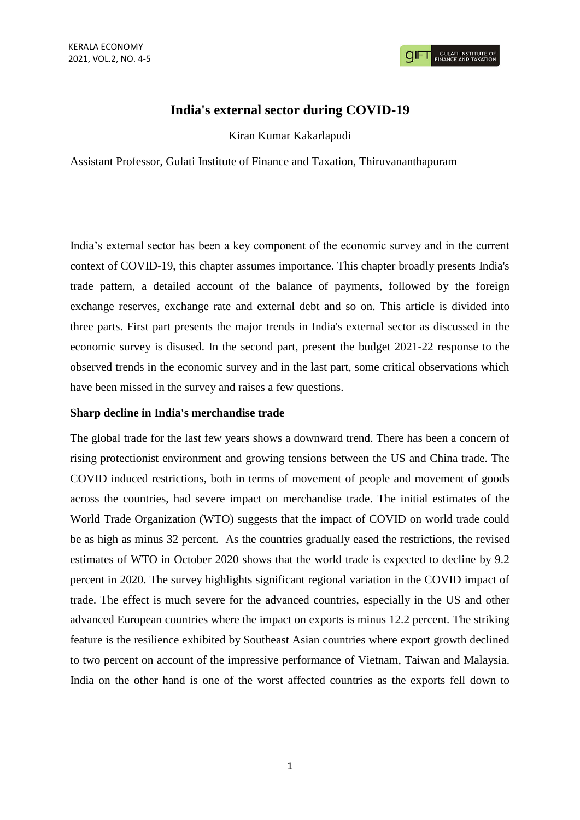# **India's external sector during COVID-19**

Kiran Kumar Kakarlapudi

Assistant Professor, Gulati Institute of Finance and Taxation, Thiruvananthapuram

India's external sector has been a key component of the economic survey and in the current context of COVID-19, this chapter assumes importance. This chapter broadly presents India's trade pattern, a detailed account of the balance of payments, followed by the foreign exchange reserves, exchange rate and external debt and so on. This article is divided into three parts. First part presents the major trends in India's external sector as discussed in the economic survey is disused. In the second part, present the budget 2021-22 response to the observed trends in the economic survey and in the last part, some critical observations which have been missed in the survey and raises a few questions.

## **Sharp decline in India's merchandise trade**

The global trade for the last few years shows a downward trend. There has been a concern of rising protectionist environment and growing tensions between the US and China trade. The COVID induced restrictions, both in terms of movement of people and movement of goods across the countries, had severe impact on merchandise trade. The initial estimates of the World Trade Organization (WTO) suggests that the impact of COVID on world trade could be as high as minus 32 percent. As the countries gradually eased the restrictions, the revised estimates of WTO in October 2020 shows that the world trade is expected to decline by 9.2 percent in 2020. The survey highlights significant regional variation in the COVID impact of trade. The effect is much severe for the advanced countries, especially in the US and other advanced European countries where the impact on exports is minus 12.2 percent. The striking feature is the resilience exhibited by Southeast Asian countries where export growth declined to two percent on account of the impressive performance of Vietnam, Taiwan and Malaysia. India on the other hand is one of the worst affected countries as the exports fell down to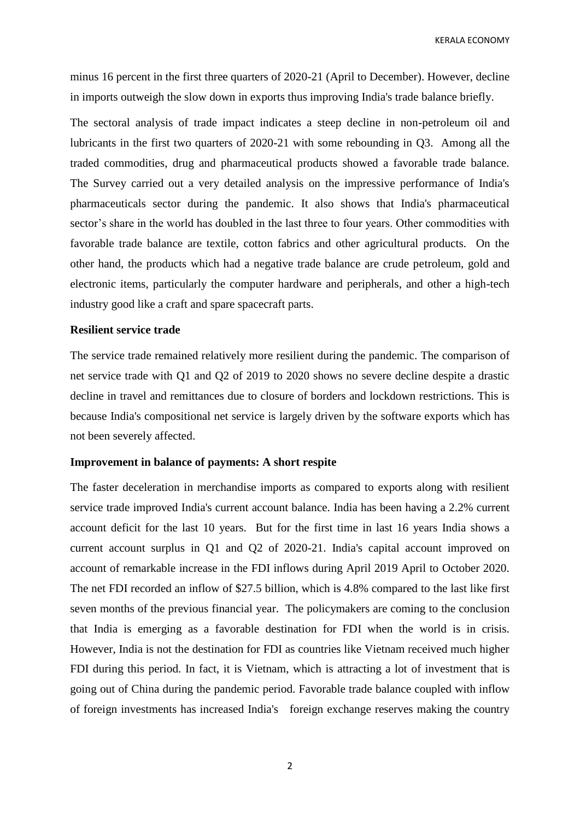KERALA ECONOMY

minus 16 percent in the first three quarters of 2020-21 (April to December). However, decline in imports outweigh the slow down in exports thus improving India's trade balance briefly.

The sectoral analysis of trade impact indicates a steep decline in non-petroleum oil and lubricants in the first two quarters of 2020-21 with some rebounding in Q3. Among all the traded commodities, drug and pharmaceutical products showed a favorable trade balance. The Survey carried out a very detailed analysis on the impressive performance of India's pharmaceuticals sector during the pandemic. It also shows that India's pharmaceutical sector's share in the world has doubled in the last three to four years. Other commodities with favorable trade balance are textile, cotton fabrics and other agricultural products. On the other hand, the products which had a negative trade balance are crude petroleum, gold and electronic items, particularly the computer hardware and peripherals, and other a high-tech industry good like a craft and spare spacecraft parts.

## **Resilient service trade**

The service trade remained relatively more resilient during the pandemic. The comparison of net service trade with Q1 and Q2 of 2019 to 2020 shows no severe decline despite a drastic decline in travel and remittances due to closure of borders and lockdown restrictions. This is because India's compositional net service is largely driven by the software exports which has not been severely affected.

#### **Improvement in balance of payments: A short respite**

The faster deceleration in merchandise imports as compared to exports along with resilient service trade improved India's current account balance. India has been having a 2.2% current account deficit for the last 10 years. But for the first time in last 16 years India shows a current account surplus in Q1 and Q2 of 2020-21. India's capital account improved on account of remarkable increase in the FDI inflows during April 2019 April to October 2020. The net FDI recorded an inflow of \$27.5 billion, which is 4.8% compared to the last like first seven months of the previous financial year. The policymakers are coming to the conclusion that India is emerging as a favorable destination for FDI when the world is in crisis. However, India is not the destination for FDI as countries like Vietnam received much higher FDI during this period. In fact, it is Vietnam, which is attracting a lot of investment that is going out of China during the pandemic period. Favorable trade balance coupled with inflow of foreign investments has increased India's foreign exchange reserves making the country